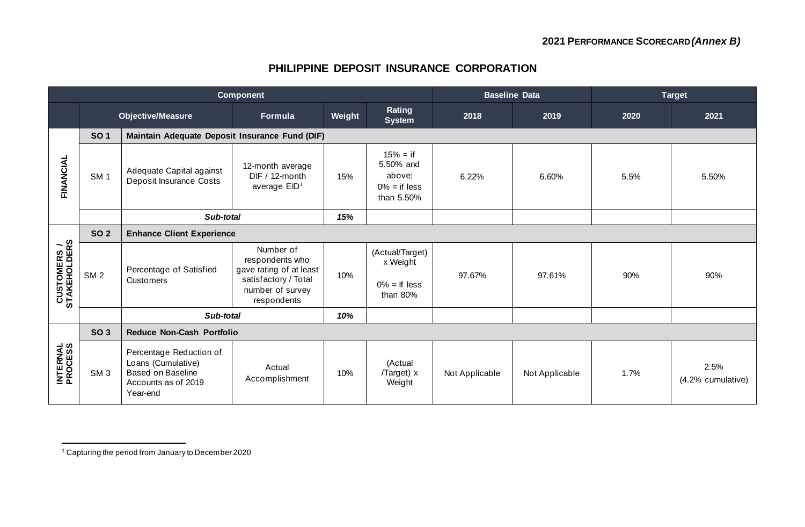#### **PHILIPPINE DEPOSIT INSURANCE CORPORATION**

|                                     | <b>Component</b> |                                                                                                              |                                                                                                                    |        |                                                                    | <b>Baseline Data</b> |                | <b>Target</b> |                           |  |  |  |  |  |
|-------------------------------------|------------------|--------------------------------------------------------------------------------------------------------------|--------------------------------------------------------------------------------------------------------------------|--------|--------------------------------------------------------------------|----------------------|----------------|---------------|---------------------------|--|--|--|--|--|
|                                     |                  | <b>Objective/Measure</b>                                                                                     | Formula                                                                                                            | Weight | Rating<br><b>System</b>                                            | 2018                 | 2019           | 2020          | 2021                      |  |  |  |  |  |
|                                     | <b>SO1</b>       | Maintain Adequate Deposit Insurance Fund (DIF)                                                               |                                                                                                                    |        |                                                                    |                      |                |               |                           |  |  |  |  |  |
| FINANCIAL                           | SM <sub>1</sub>  | Adequate Capital against<br>Deposit Insurance Costs                                                          | 12-month average<br>DIF / 12-month<br>average $EID1$                                                               | 15%    | $15% = if$<br>5.50% and<br>above;<br>$0\% =$ if less<br>than 5.50% | 6.22%                | 6.60%          | 5.5%          | 5.50%                     |  |  |  |  |  |
|                                     |                  | Sub-total                                                                                                    |                                                                                                                    | 15%    |                                                                    |                      |                |               |                           |  |  |  |  |  |
| <b>CUSTOMERS /<br/>STAKEHOLDERS</b> | <b>SO 2</b>      | <b>Enhance Client Experience</b>                                                                             |                                                                                                                    |        |                                                                    |                      |                |               |                           |  |  |  |  |  |
|                                     | SM <sub>2</sub>  | Percentage of Satisfied<br><b>Customers</b>                                                                  | Number of<br>respondents who<br>gave rating of at least<br>satisfactory / Total<br>number of survey<br>respondents | 10%    | (Actual/Target)<br>x Weight<br>$0\% =$ If less<br>than 80%         | 97.67%               | 97.61%         | 90%           | 90%                       |  |  |  |  |  |
|                                     |                  | Sub-total                                                                                                    |                                                                                                                    | 10%    |                                                                    |                      |                |               |                           |  |  |  |  |  |
|                                     | <b>SO 3</b>      | <b>Reduce Non-Cash Portfolio</b>                                                                             |                                                                                                                    |        |                                                                    |                      |                |               |                           |  |  |  |  |  |
| <b>INTERNAL</b><br>PROCESS          | SM <sub>3</sub>  | Percentage Reduction of<br>Loans (Cumulative)<br><b>Based on Baseline</b><br>Accounts as of 2019<br>Year-end | Actual<br>Accomplishment                                                                                           | 10%    | (Actual<br>/Target) x<br>Weight                                    | Not Applicable       | Not Applicable | 1.7%          | 2.5%<br>(4.2% cumulative) |  |  |  |  |  |

<sup>1</sup> Capturing the period from January to December 2020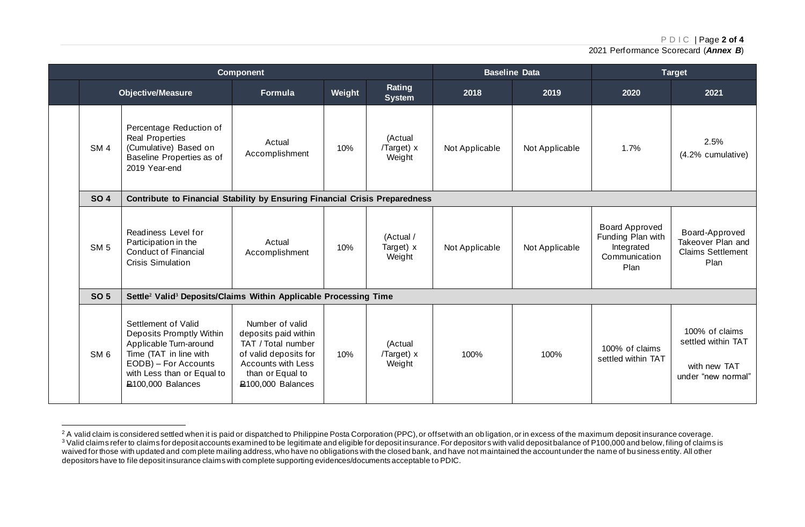P D I C | Page **2 of 4**

2021 Performance Scorecard (*Annex B*)

|                                                                                                              |                                                                                                                                                                                | <b>Component</b>                                                                                                                                                   |     |                                   |                | <b>Baseline Data</b> | <b>Target</b>                                                                     |                                                                            |  |  |  |  |  |
|--------------------------------------------------------------------------------------------------------------|--------------------------------------------------------------------------------------------------------------------------------------------------------------------------------|--------------------------------------------------------------------------------------------------------------------------------------------------------------------|-----|-----------------------------------|----------------|----------------------|-----------------------------------------------------------------------------------|----------------------------------------------------------------------------|--|--|--|--|--|
|                                                                                                              | <b>Objective/Measure</b>                                                                                                                                                       | Weight<br>Formula                                                                                                                                                  |     | Rating<br><b>System</b>           | 2018           | 2019                 | 2020                                                                              | 2021                                                                       |  |  |  |  |  |
| SM <sub>4</sub>                                                                                              | Percentage Reduction of<br><b>Real Properties</b><br>(Cumulative) Based on<br>Baseline Properties as of<br>2019 Year-end                                                       | Actual<br>Accomplishment                                                                                                                                           | 10% | (Actual<br>/Target) x<br>Weight   | Not Applicable | Not Applicable       | 1.7%                                                                              | 2.5%<br>(4.2% cumulative)                                                  |  |  |  |  |  |
| <b>SO 4</b><br>Readiness Level for<br>Participation in the<br>SM <sub>5</sub><br><b>Conduct of Financial</b> | Contribute to Financial Stability by Ensuring Financial Crisis Preparedness                                                                                                    |                                                                                                                                                                    |     |                                   |                |                      |                                                                                   |                                                                            |  |  |  |  |  |
|                                                                                                              | <b>Crisis Simulation</b>                                                                                                                                                       | Actual<br>Accomplishment                                                                                                                                           |     | (Actual /<br>Target) x<br>Weight  | Not Applicable | Not Applicable       | <b>Board Approved</b><br>Funding Plan with<br>Integrated<br>Communication<br>Plan | Board-Approved<br>Takeover Plan and<br><b>Claims Settlement</b><br>Plan    |  |  |  |  |  |
| <b>SO 5</b>                                                                                                  | Settle <sup>2</sup> Valid <sup>3</sup> Deposits/Claims Within Applicable Processing Time                                                                                       |                                                                                                                                                                    |     |                                   |                |                      |                                                                                   |                                                                            |  |  |  |  |  |
| SM <sub>6</sub>                                                                                              | Settlement of Valid<br>Deposits Promptly Within<br>Applicable Turn-around<br>Time (TAT in line with<br>EODB) - For Accounts<br>with Less than or Equal to<br>P100,000 Balances | Number of valid<br>deposits paid within<br>TAT / Total number<br>of valid deposits for<br>Accounts with Less<br>than or Equal to<br>P <sub>100</sub> ,000 Balances | 10% | (Actual<br>$/Target)$ x<br>Weight | 100%           | 100%                 | 100% of claims<br>settled within TAT                                              | 100% of claims<br>settled within TAT<br>with new TAT<br>under "new normal" |  |  |  |  |  |

 $^2$  A valid claim is considered settled when it is paid or dispatched to Philippine Posta Corporation (PPC), or offset with an obligation, or in excess of the maximum deposit insurance coverage.  $^3$  Valid claims refer to claims for deposit accounts examined to be legitimate and eligible for deposit insurance. For depositors with valid deposit balance of P100,000 and below, filing of claims is waived for those with updated and complete mailing address, who have no obligations with the closed bank, and have not maintained the account under the name of bu siness entity. All other depositors have to file deposit insurance claims with complete supporting evidences/documents acceptable to PDIC.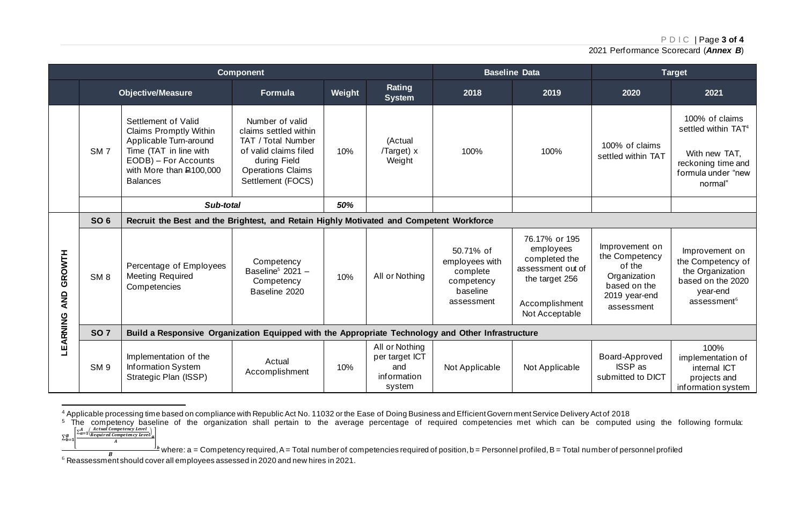P D I C | Page **3 of 4**

2021 Performance Scorecard (*Annex B*)

|                      |                 |                                                                                                                                                                                   | <b>Component</b>                                                                                                                                         |        |                                                                  |                                                                                 | <b>Baseline Data</b>                                                                                                   | <b>Target</b>                                                                                             |                                                                                                                     |  |  |  |  |
|----------------------|-----------------|-----------------------------------------------------------------------------------------------------------------------------------------------------------------------------------|----------------------------------------------------------------------------------------------------------------------------------------------------------|--------|------------------------------------------------------------------|---------------------------------------------------------------------------------|------------------------------------------------------------------------------------------------------------------------|-----------------------------------------------------------------------------------------------------------|---------------------------------------------------------------------------------------------------------------------|--|--|--|--|
|                      |                 | <b>Objective/Measure</b>                                                                                                                                                          | Formula                                                                                                                                                  | Weight | Rating<br><b>System</b>                                          | 2018                                                                            | 2019                                                                                                                   | 2020                                                                                                      | 2021                                                                                                                |  |  |  |  |
|                      | SM <sub>7</sub> | Settlement of Valid<br><b>Claims Promptly Within</b><br>Applicable Turn-around<br>Time (TAT in line with<br>EODB) - For Accounts<br>with More than $E$ 100,000<br><b>Balances</b> | Number of valid<br>claims settled within<br>TAT / Total Number<br>of valid claims filed<br>during Field<br><b>Operations Claims</b><br>Settlement (FOCS) | 10%    | (Actual<br>/Target) x<br>Weight                                  | 100%                                                                            | 100%                                                                                                                   | 100% of claims<br>settled within TAT                                                                      | 100% of claims<br>settled within $TAT4$<br>With new TAT,<br>reckoning time and<br>formula under "new<br>normal"     |  |  |  |  |
|                      |                 | Sub-total                                                                                                                                                                         |                                                                                                                                                          | 50%    |                                                                  |                                                                                 |                                                                                                                        |                                                                                                           |                                                                                                                     |  |  |  |  |
| GROWTH<br><b>AND</b> | <b>SO 6</b>     | Recruit the Best and the Brightest, and Retain Highly Motivated and Competent Workforce                                                                                           |                                                                                                                                                          |        |                                                                  |                                                                                 |                                                                                                                        |                                                                                                           |                                                                                                                     |  |  |  |  |
|                      | SM <sub>8</sub> | Percentage of Employees<br><b>Meeting Required</b><br>Competencies                                                                                                                | Competency<br>Baseline <sup>5</sup> 2021 -<br>Competency<br>Baseline 2020                                                                                | 10%    | All or Nothing                                                   | 50.71% of<br>employees with<br>complete<br>competency<br>baseline<br>assessment | 76.17% or 195<br>employees<br>completed the<br>assessment out of<br>the target 256<br>Accomplishment<br>Not Acceptable | Improvement on<br>the Competency<br>of the<br>Organization<br>based on the<br>2019 year-end<br>assessment | Improvement on<br>the Competency of<br>the Organization<br>based on the 2020<br>year-end<br>assessment <sup>6</sup> |  |  |  |  |
|                      | <b>SO 7</b>     | Build a Responsive Organization Equipped with the Appropriate Technology and Other Infrastructure                                                                                 |                                                                                                                                                          |        |                                                                  |                                                                                 |                                                                                                                        |                                                                                                           |                                                                                                                     |  |  |  |  |
| LEARNING             | SM <sub>9</sub> | Implementation of the<br>Information System<br>Strategic Plan (ISSP)                                                                                                              | Actual<br>Accomplishment                                                                                                                                 | 10%    | All or Nothing<br>per target ICT<br>and<br>information<br>system | Not Applicable                                                                  | Not Applicable                                                                                                         | Board-Approved<br><b>ISSP</b> as<br>submitted to DICT                                                     | 100%<br>implementation of<br>internal ICT<br>projects and<br>information system                                     |  |  |  |  |

<sup>4</sup> Applicable processing time based on compliance with Republic Act No. 11032 or the Ease of Doing Business and Efficient Govern ment Service Delivery Act of 2018

 $\boldsymbol{A}$ 

 $5$  The competency baseline of the organization shall pertain to the average percentage of required competencies met which can be computed using the following formula:  $\sum_{h=1}^{B} \left[ \frac{\sum_{a=1}^{A} \left( \frac{Actual \, \textit{Competency} \, \textit{Level}}{Required \, \textit{Competency} \, \textit{Level}} \right)}{\sum_{h=1}^{B} \left( \frac{Actual \, \textit{Competency} \, \textit{Level}}{A} \right)} \right]$  $\Sigma_{b=}^B$ 

 $^{\textit{b}}$  where: a = Competency required, A = Total number of competencies required of position, b = Personnel profiled, B = Total number of personnel profiled  $\overline{B}$ 

<sup>6</sup> Reassessment should cover all employees assessed in 2020 and new hires in 2021.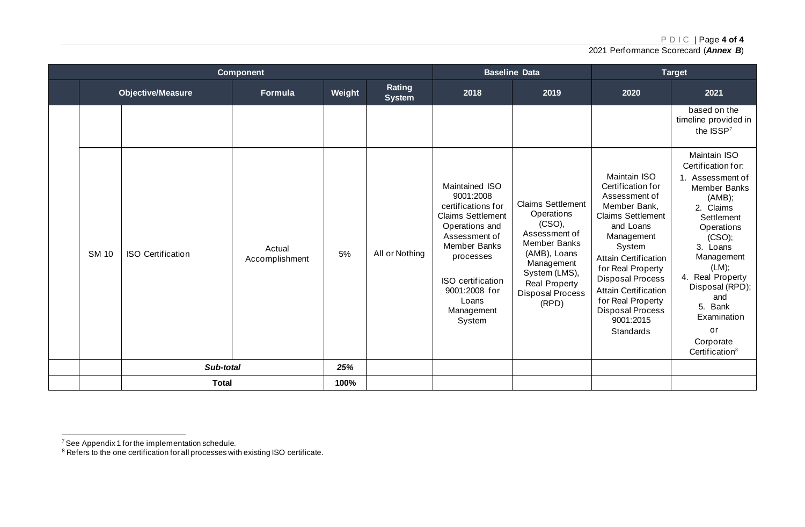P D I C | Page **4 of 4**

2021 Performance Scorecard (*Annex B*)

|  |              |                          | <b>Component</b>         |        |                         | <b>Baseline Data</b>                                                                                                                                                                                                 |                                                                                                                                                                                              | <b>Target</b>                                                                                                                                                                                                                                                                                                               |                                                                                                                                                                                                                                                                                                 |  |  |  |  |  |
|--|--------------|--------------------------|--------------------------|--------|-------------------------|----------------------------------------------------------------------------------------------------------------------------------------------------------------------------------------------------------------------|----------------------------------------------------------------------------------------------------------------------------------------------------------------------------------------------|-----------------------------------------------------------------------------------------------------------------------------------------------------------------------------------------------------------------------------------------------------------------------------------------------------------------------------|-------------------------------------------------------------------------------------------------------------------------------------------------------------------------------------------------------------------------------------------------------------------------------------------------|--|--|--|--|--|
|  |              | <b>Objective/Measure</b> | Formula                  | Weight | Rating<br><b>System</b> | 2018                                                                                                                                                                                                                 | 2019                                                                                                                                                                                         | 2020                                                                                                                                                                                                                                                                                                                        | 2021                                                                                                                                                                                                                                                                                            |  |  |  |  |  |
|  |              |                          |                          |        |                         |                                                                                                                                                                                                                      |                                                                                                                                                                                              |                                                                                                                                                                                                                                                                                                                             | based on the<br>timeline provided in<br>the $ISSP7$                                                                                                                                                                                                                                             |  |  |  |  |  |
|  | <b>SM 10</b> | <b>ISO Certification</b> | Actual<br>Accomplishment | 5%     | All or Nothing          | Maintained ISO<br>9001:2008<br>certifications for<br><b>Claims Settlement</b><br>Operations and<br>Assessment of<br>Member Banks<br>processes<br>ISO certification<br>9001:2008 for<br>Loans<br>Management<br>System | <b>Claims Settlement</b><br>Operations<br>(CSO),<br>Assessment of<br>Member Banks<br>(AMB), Loans<br>Management<br>System (LMS),<br><b>Real Property</b><br><b>Disposal Process</b><br>(RPD) | Maintain ISO<br>Certification for<br>Assessment of<br>Member Bank,<br>Claims Settlement<br>and Loans<br>Management<br>System<br><b>Attain Certification</b><br>for Real Property<br><b>Disposal Process</b><br><b>Attain Certification</b><br>for Real Property<br><b>Disposal Process</b><br>9001:2015<br><b>Standards</b> | Maintain ISO<br>Certification for:<br>1. Assessment of<br>Member Banks<br>(AMB);<br>2. Claims<br>Settlement<br>Operations<br>(CSO);<br>3. Loans<br>Management<br>(LM);<br>4. Real Property<br>Disposal (RPD);<br>and<br>5. Bank<br>Examination<br>or<br>Corporate<br>Certification <sup>8</sup> |  |  |  |  |  |
|  |              | Sub-total                |                          | 25%    |                         |                                                                                                                                                                                                                      |                                                                                                                                                                                              |                                                                                                                                                                                                                                                                                                                             |                                                                                                                                                                                                                                                                                                 |  |  |  |  |  |
|  |              | <b>Total</b>             |                          | 100%   |                         |                                                                                                                                                                                                                      |                                                                                                                                                                                              |                                                                                                                                                                                                                                                                                                                             |                                                                                                                                                                                                                                                                                                 |  |  |  |  |  |

 $7$  See Appendix 1 for the implementation schedule.

 $8$  Refers to the one certification for all processes with existing ISO certificate.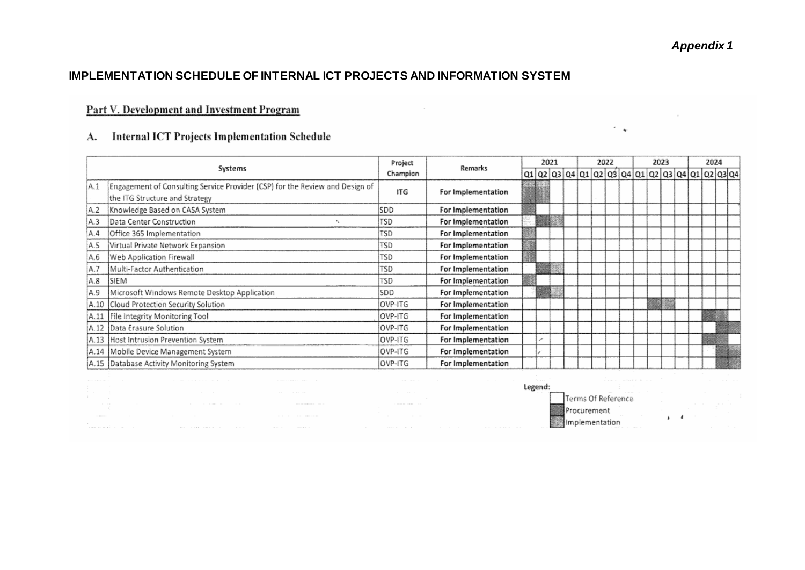$\sim$   $_{\star}$ 

#### **IMPLEMENTATION SCHEDULE OF INTERNAL ICT PROJECTS AND INFORMATION SYSTEM**

# Part V. Development and Investment Program

# A. Internal ICT Projects Implementation Schedule

|      |                                                                              | Project  | Remarks            |  | 2021 |  | 2022 | 2023 |  |  |  |  | 2024 |                                          |
|------|------------------------------------------------------------------------------|----------|--------------------|--|------|--|------|------|--|--|--|--|------|------------------------------------------|
|      | Systems                                                                      | Champion |                    |  |      |  |      |      |  |  |  |  |      | $Q1Q2Q3Q4Q1Q2Q3Q4Q1Q2Q3Q4Q1Q2Q4Q1Q2Q3Q4$ |
| İA.1 | Engagement of Consulting Service Provider (CSP) for the Review and Design of |          | For Implementation |  |      |  |      |      |  |  |  |  |      |                                          |
|      | the ITG Structure and Strategy                                               | ITG      |                    |  |      |  |      |      |  |  |  |  |      |                                          |
| A.2  | Knowledge Based on CASA System                                               | SDD      | For Implementation |  |      |  |      |      |  |  |  |  |      |                                          |
| IA.3 | Data Center Construction                                                     | TSD      | For implementation |  |      |  |      |      |  |  |  |  |      |                                          |
| IA.4 | Office 365 Implementation                                                    | TSD      | For Implementation |  |      |  |      |      |  |  |  |  |      |                                          |
| A.5  | Virtual Private Network Expansion                                            | TSD      | For Implementation |  |      |  |      |      |  |  |  |  |      |                                          |
| A.6  | Web Application Firewall                                                     | TSD      | For Implementation |  |      |  |      |      |  |  |  |  |      |                                          |
| A.7  | Multi-Factor Authentication                                                  | TSD      | For Implementation |  |      |  |      |      |  |  |  |  |      |                                          |
| IA.8 | SIEM                                                                         | TSD      | For Implementation |  |      |  |      |      |  |  |  |  |      |                                          |
| IA.9 | Microsoft Windows Remote Desktop Application                                 | SDD      | For Implementation |  |      |  |      |      |  |  |  |  |      |                                          |
|      | A.10 Cloud Protection Security Solution                                      | OVP-ITG  | For Implementation |  |      |  |      |      |  |  |  |  |      |                                          |
|      | A.11 File Integrity Monitoring Tool                                          | OVP-ITG  | For Implementation |  |      |  |      |      |  |  |  |  |      |                                          |
|      | A.12 Data Erasure Solution                                                   | OVP-ITG  | For Implementation |  |      |  |      |      |  |  |  |  |      |                                          |
|      | A.13 Host Intrusion Prevention System                                        | OVP-ITG  | For Implementation |  |      |  |      |      |  |  |  |  |      |                                          |
|      | A.14 Mobile Device Management System                                         | OVP-ITG  | For Implementation |  |      |  |      |      |  |  |  |  |      |                                          |
|      | A.15 Database Activity Monitoring System                                     | OVP-ITG  | For Implementation |  |      |  |      |      |  |  |  |  |      |                                          |

| the contract of the contract of the                                                    |                         | the adventure of the contract of the company and the first contract of the contract of the contract of the contract of the contract of the contract of the contract of the contract of the contract of the contract of the con |                                                                                                                 | and the control of the control of the control of the control of               | The common the common<br>the contract of the contract of the contract of the contract of the contract of                                                                                                                       | the state of the con-<br>the control of the con-<br>the state of the contract of the contract |                          |  |
|----------------------------------------------------------------------------------------|-------------------------|--------------------------------------------------------------------------------------------------------------------------------------------------------------------------------------------------------------------------------|-----------------------------------------------------------------------------------------------------------------|-------------------------------------------------------------------------------|--------------------------------------------------------------------------------------------------------------------------------------------------------------------------------------------------------------------------------|-----------------------------------------------------------------------------------------------|--------------------------|--|
| the contract of the contract of<br>the state of the control of<br>The Committee of the |                         |                                                                                                                                                                                                                                | the contract of the contract of the contract of the contract of the contract of the contract of the contract of | the contract of the contract of the contract of                               |                                                                                                                                                                                                                                | the company of the company of the com-                                                        | the contract of the con- |  |
| and the state of<br>The Control of the                                                 | the control of the con- | the contract of the contract of the contract of the contract of the contract of the contract of the contract of                                                                                                                |                                                                                                                 | the contract of the contract of<br>a success common state<br>the state of the |                                                                                                                                                                                                                                |                                                                                               | <b>Contract Contract</b> |  |
| THE REPORT OF                                                                          |                         | the contract of the contract of the contract of the contract of the contract of the contract of the contract of                                                                                                                |                                                                                                                 | the control of the con-<br>the contract of the contract of the contract of    |                                                                                                                                                                                                                                | and the control of the control of the                                                         |                          |  |
| the state of the con-<br>the contract of the contract of the contract of               |                         | which is the second contract that the contract of the contract of the contract of the contract of the contract of the contract of the contract of the contract of the contract of the contract of the contract of the contract |                                                                                                                 |                                                                               | the contract of the contract of the contract of the contract of the contract of the contract of the contract of the contract of the contract of the contract of the contract of the contract of the contract of the contract o | The company's company of the company of                                                       |                          |  |